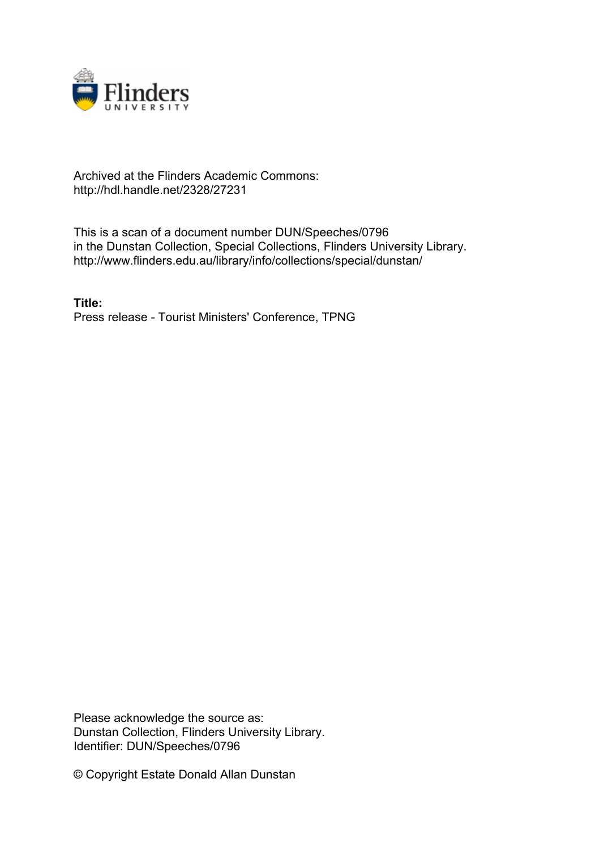

## Archived at the Flinders Academic Commons: http://hdl.handle.net/2328/27231

This is a scan of a document number DUN/Speeches/0796 in the Dunstan Collection, Special Collections, Flinders University Library. http://www.flinders.edu.au/library/info/collections/special/dunstan/

**Title:** Press release - Tourist Ministers' Conference, TPNG

Please acknowledge the source as: Dunstan Collection, Flinders University Library. Identifier: DUN/Speeches/0796

© Copyright Estate Donald Allan Dunstan